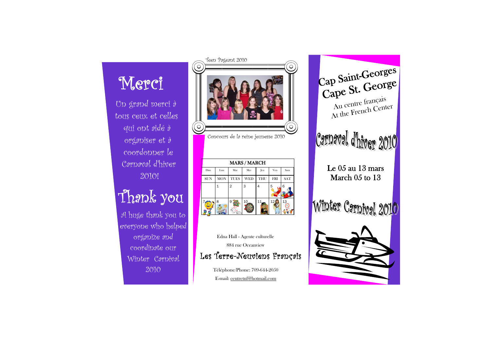Un grand merci à tous ceux et celles qui ont aidé à organiser et à coordonner le Carnaval d'hiver 2010!

# Thank you



Edna Hall - Agente culturelle 884 rue Oceanview Les Terre-Neuviens Français

> Téléphone/Phone: 709-644-2050 E-mail: centretnf@hotmail.com

Cap Saint-Georges Cape St. George Au centre français At the French Center Carnaval d'hiver 2010 Le 05 au 13 mars March 05 to 13 Winter Carnival 2010





A huge thank you to everyone who helped organize and coordinate our Winter Carnival 2010

Concours de la reine jeunesse 2010



| <b>MARS / MARCH</b> |            |             |            |     |            |            |
|---------------------|------------|-------------|------------|-----|------------|------------|
| Dim                 | Lun        | Mar         | Mer        | Jeu | Ven        | Sam        |
| <b>SUN</b>          | <b>MON</b> | <b>TUES</b> | <b>WED</b> | THU | <b>FRI</b> | <b>SAT</b> |
|                     |            | 2           | 3          |     | 5          | 6          |
|                     | 8          | 9           |            |     | 12         |            |